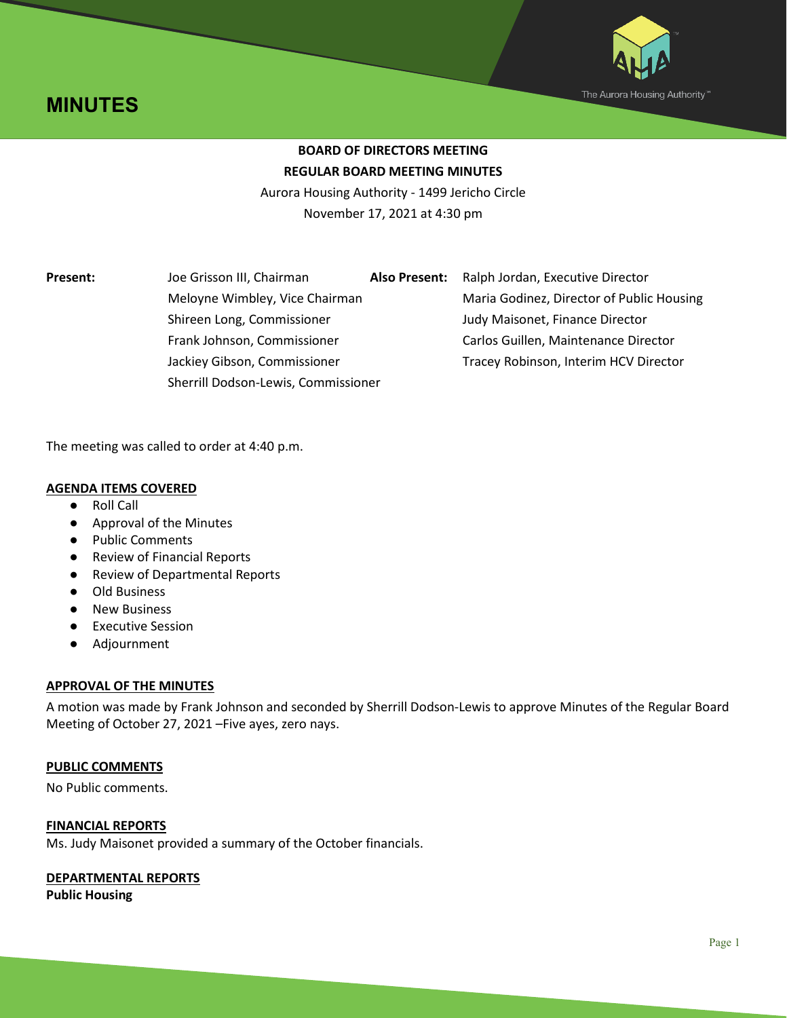



# **BOARD OF DIRECTORS MEETING REGULAR BOARD MEETING MINUTES**

Aurora Housing Authority - 1499 Jericho Circle November 17, 2021 at 4:30 pm

**Present:** Joe Grisson III, Chairman **Also Present:** Ralph Jordan, Executive Director Shireen Long, Commissioner Judy Maisonet, Finance Director Sherrill Dodson-Lewis, Commissioner

Meloyne Wimbley, Vice Chairman Maria Godinez, Director of Public Housing Frank Johnson, Commissioner Carlos Guillen, Maintenance Director Jackiey Gibson, Commissioner Tracey Robinson, Interim HCV Director

The meeting was called to order at 4:40 p.m.

## **AGENDA ITEMS COVERED**

- Roll Call
- Approval of the Minutes
- Public Comments
- Review of Financial Reports
- Review of Departmental Reports
- Old Business
- New Business
- Executive Session
- Adjournment

#### **APPROVAL OF THE MINUTES**

A motion was made by Frank Johnson and seconded by Sherrill Dodson-Lewis to approve Minutes of the Regular Board Meeting of October 27, 2021 –Five ayes, zero nays.

#### **PUBLIC COMMENTS**

No Public comments.

#### **FINANCIAL REPORTS**

Ms. Judy Maisonet provided a summary of the October financials.

## **DEPARTMENTAL REPORTS**

**Public Housing**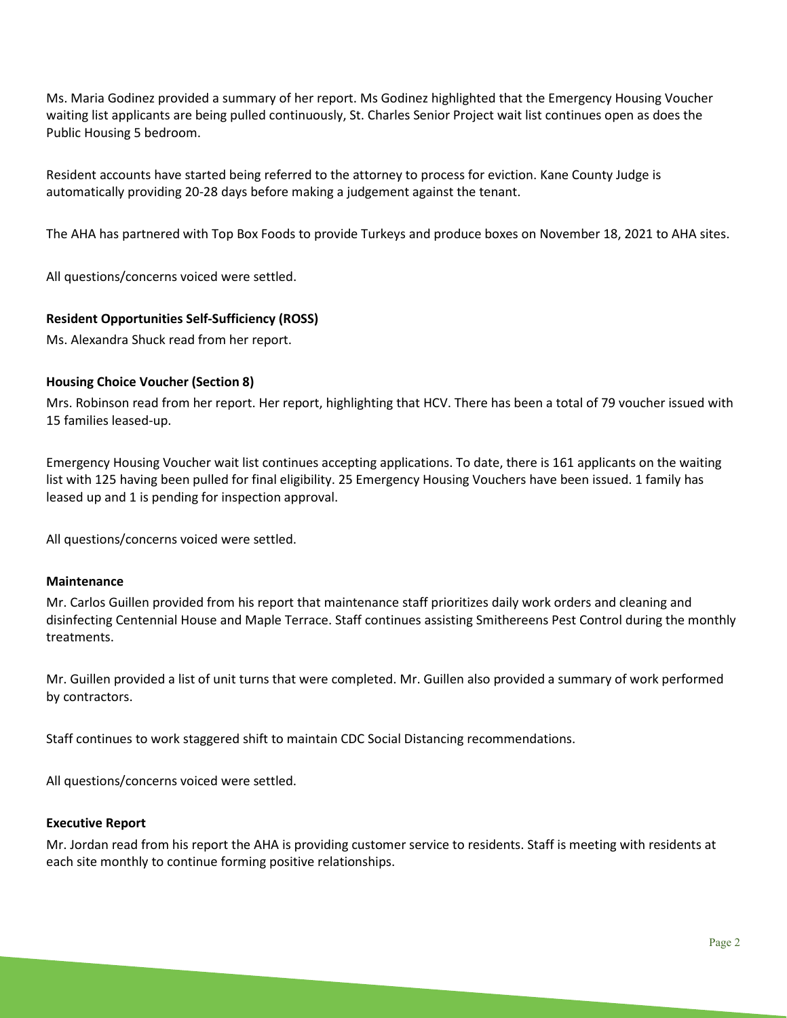Ms. Maria Godinez provided a summary of her report. Ms Godinez highlighted that the Emergency Housing Voucher waiting list applicants are being pulled continuously, St. Charles Senior Project wait list continues open as does the Public Housing 5 bedroom.

Resident accounts have started being referred to the attorney to process for eviction. Kane County Judge is automatically providing 20-28 days before making a judgement against the tenant.

The AHA has partnered with Top Box Foods to provide Turkeys and produce boxes on November 18, 2021 to AHA sites.

All questions/concerns voiced were settled.

## **Resident Opportunities Self-Sufficiency (ROSS)**

Ms. Alexandra Shuck read from her report.

#### **Housing Choice Voucher (Section 8)**

Mrs. Robinson read from her report. Her report, highlighting that HCV. There has been a total of 79 voucher issued with 15 families leased-up.

Emergency Housing Voucher wait list continues accepting applications. To date, there is 161 applicants on the waiting list with 125 having been pulled for final eligibility. 25 Emergency Housing Vouchers have been issued. 1 family has leased up and 1 is pending for inspection approval.

All questions/concerns voiced were settled.

#### **Maintenance**

Mr. Carlos Guillen provided from his report that maintenance staff prioritizes daily work orders and cleaning and disinfecting Centennial House and Maple Terrace. Staff continues assisting Smithereens Pest Control during the monthly treatments.

Mr. Guillen provided a list of unit turns that were completed. Mr. Guillen also provided a summary of work performed by contractors.

Staff continues to work staggered shift to maintain CDC Social Distancing recommendations.

All questions/concerns voiced were settled.

#### **Executive Report**

Mr. Jordan read from his report the AHA is providing customer service to residents. Staff is meeting with residents at each site monthly to continue forming positive relationships.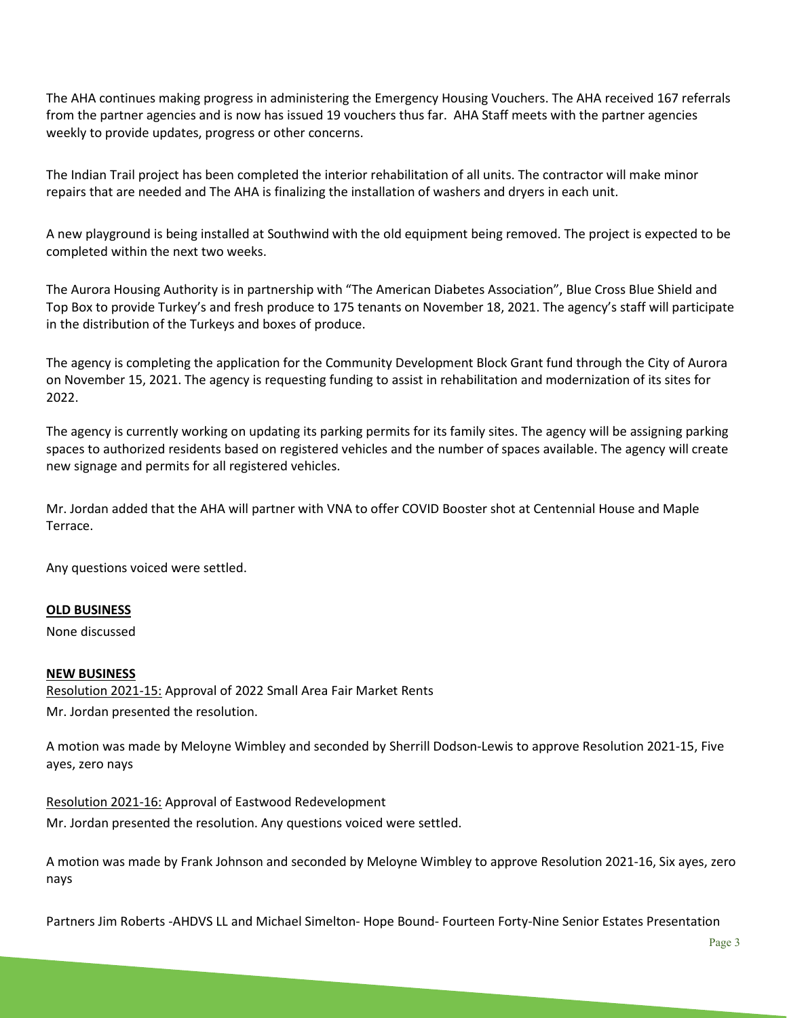The AHA continues making progress in administering the Emergency Housing Vouchers. The AHA received 167 referrals from the partner agencies and is now has issued 19 vouchers thus far. AHA Staff meets with the partner agencies weekly to provide updates, progress or other concerns.

The Indian Trail project has been completed the interior rehabilitation of all units. The contractor will make minor repairs that are needed and The AHA is finalizing the installation of washers and dryers in each unit.

A new playground is being installed at Southwind with the old equipment being removed. The project is expected to be completed within the next two weeks.

The Aurora Housing Authority is in partnership with "The American Diabetes Association", Blue Cross Blue Shield and Top Box to provide Turkey's and fresh produce to 175 tenants on November 18, 2021. The agency's staff will participate in the distribution of the Turkeys and boxes of produce.

The agency is completing the application for the Community Development Block Grant fund through the City of Aurora on November 15, 2021. The agency is requesting funding to assist in rehabilitation and modernization of its sites for 2022.

The agency is currently working on updating its parking permits for its family sites. The agency will be assigning parking spaces to authorized residents based on registered vehicles and the number of spaces available. The agency will create new signage and permits for all registered vehicles.

Mr. Jordan added that the AHA will partner with VNA to offer COVID Booster shot at Centennial House and Maple Terrace.

Any questions voiced were settled.

#### **OLD BUSINESS**

None discussed

#### **NEW BUSINESS**

Resolution 2021-15: Approval of 2022 Small Area Fair Market Rents Mr. Jordan presented the resolution.

A motion was made by Meloyne Wimbley and seconded by Sherrill Dodson-Lewis to approve Resolution 2021-15, Five ayes, zero nays

Resolution 2021-16: Approval of Eastwood Redevelopment Mr. Jordan presented the resolution. Any questions voiced were settled.

A motion was made by Frank Johnson and seconded by Meloyne Wimbley to approve Resolution 2021-16, Six ayes, zero nays

Partners Jim Roberts -AHDVS LL and Michael Simelton- Hope Bound- Fourteen Forty-Nine Senior Estates Presentation